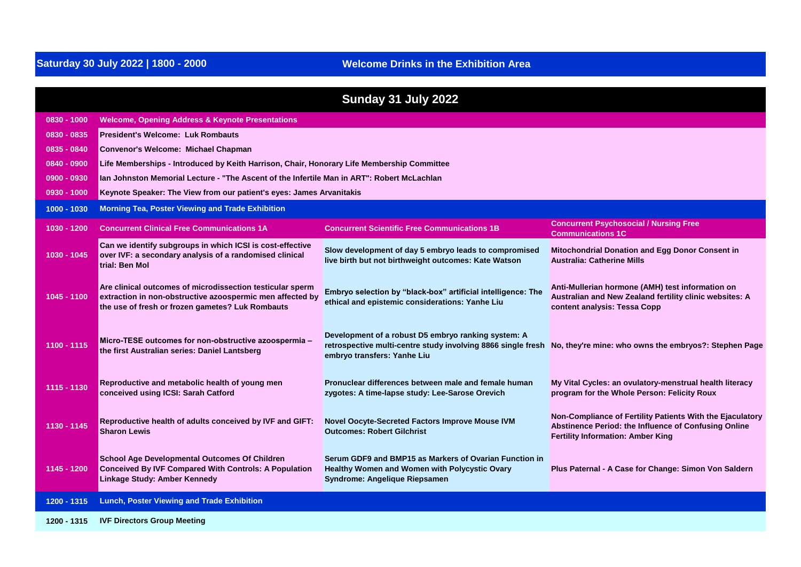## **Welcome Drinks in the Exhibition Area**

| Sunday 31 July 2022 |                                                                                                                                                                            |                                                                                                                                                    |                                                                                                                                                               |
|---------------------|----------------------------------------------------------------------------------------------------------------------------------------------------------------------------|----------------------------------------------------------------------------------------------------------------------------------------------------|---------------------------------------------------------------------------------------------------------------------------------------------------------------|
| $0830 - 1000$       | <b>Welcome, Opening Address &amp; Keynote Presentations</b>                                                                                                                |                                                                                                                                                    |                                                                                                                                                               |
| 0830 - 0835         | <b>President's Welcome: Luk Rombauts</b>                                                                                                                                   |                                                                                                                                                    |                                                                                                                                                               |
| $0835 - 0840$       | <b>Convenor's Welcome: Michael Chapman</b>                                                                                                                                 |                                                                                                                                                    |                                                                                                                                                               |
| 0840 - 0900         | Life Memberships - Introduced by Keith Harrison, Chair, Honorary Life Membership Committee                                                                                 |                                                                                                                                                    |                                                                                                                                                               |
| $0900 - 0930$       | Ian Johnston Memorial Lecture - "The Ascent of the Infertile Man in ART": Robert McLachlan                                                                                 |                                                                                                                                                    |                                                                                                                                                               |
| $0930 - 1000$       | Keynote Speaker: The View from our patient's eyes: James Arvanitakis                                                                                                       |                                                                                                                                                    |                                                                                                                                                               |
| 1000 - 1030         | <b>Morning Tea, Poster Viewing and Trade Exhibition</b>                                                                                                                    |                                                                                                                                                    |                                                                                                                                                               |
| 1030 - 1200         | <b>Concurrent Clinical Free Communications 1A</b>                                                                                                                          | <b>Concurrent Scientific Free Communications 1B</b>                                                                                                | <b>Concurrent Psychosocial / Nursing Free</b><br><b>Communications 1C</b>                                                                                     |
| 1030 - 1045         | Can we identify subgroups in which ICSI is cost-effective<br>over IVF: a secondary analysis of a randomised clinical<br>trial: Ben Mol                                     | Slow development of day 5 embryo leads to compromised<br>live birth but not birthweight outcomes: Kate Watson                                      | Mitochondrial Donation and Egg Donor Consent in<br><b>Australia: Catherine Mills</b>                                                                          |
| 1045 - 1100         | Are clinical outcomes of microdissection testicular sperm<br>extraction in non-obstructive azoospermic men affected by<br>the use of fresh or frozen gametes? Luk Rombauts | Embryo selection by "black-box" artificial intelligence: The<br>ethical and epistemic considerations: Yanhe Liu                                    | Anti-Mullerian hormone (AMH) test information on<br>Australian and New Zealand fertility clinic websites: A<br>content analysis: Tessa Copp                   |
| 1100 - 1115         | Micro-TESE outcomes for non-obstructive azoospermia -<br>the first Australian series: Daniel Lantsberg                                                                     | Development of a robust D5 embryo ranking system: A<br>retrospective multi-centre study involving 8866 single fresh<br>embryo transfers: Yanhe Liu | No, they're mine: who owns the embryos?: Stephen Page                                                                                                         |
| 1115 - 1130         | Reproductive and metabolic health of young men<br>conceived using ICSI: Sarah Catford                                                                                      | Pronuclear differences between male and female human<br>zygotes: A time-lapse study: Lee-Sarose Orevich                                            | My Vital Cycles: an ovulatory-menstrual health literacy<br>program for the Whole Person: Felicity Roux                                                        |
| 1130 - 1145         | Reproductive health of adults conceived by IVF and GIFT:<br><b>Sharon Lewis</b>                                                                                            | Novel Oocyte-Secreted Factors Improve Mouse IVM<br><b>Outcomes: Robert Gilchrist</b>                                                               | Non-Compliance of Fertility Patients With the Ejaculatory<br>Abstinence Period: the Influence of Confusing Online<br><b>Fertility Information: Amber King</b> |
| 1145 - 1200         | <b>School Age Developmental Outcomes Of Children</b><br><b>Conceived By IVF Compared With Controls: A Population</b><br>Linkage Study: Amber Kennedy                       | Serum GDF9 and BMP15 as Markers of Ovarian Function in<br>Healthy Women and Women with Polycystic Ovary<br>Syndrome: Angelique Riepsamen           | Plus Paternal - A Case for Change: Simon Von Saldern                                                                                                          |
| 1200 - 1315         | <b>Lunch, Poster Viewing and Trade Exhibition</b>                                                                                                                          |                                                                                                                                                    |                                                                                                                                                               |
| 1200 - 1315         | <b>IVF Directors Group Meeting</b>                                                                                                                                         |                                                                                                                                                    |                                                                                                                                                               |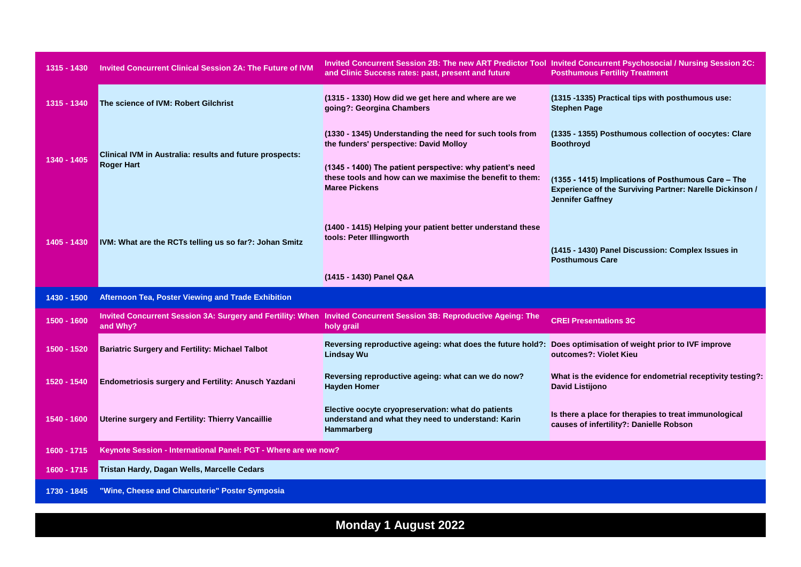| 1315 - 1430 | <b>Invited Concurrent Clinical Session 2A: The Future of IVM</b>                                                               | Invited Concurrent Session 2B: The new ART Predictor Tool Invited Concurrent Psychosocial / Nursing Session 2C:<br>and Clinic Success rates: past, present and future                                                                               | <b>Posthumous Fertility Treatment</b>                                                                                                                              |
|-------------|--------------------------------------------------------------------------------------------------------------------------------|-----------------------------------------------------------------------------------------------------------------------------------------------------------------------------------------------------------------------------------------------------|--------------------------------------------------------------------------------------------------------------------------------------------------------------------|
| 1315 - 1340 | The science of IVM: Robert Gilchrist                                                                                           | (1315 - 1330) How did we get here and where are we<br>going?: Georgina Chambers                                                                                                                                                                     | (1315 -1335) Practical tips with posthumous use:<br><b>Stephen Page</b>                                                                                            |
| 1340 - 1405 | Clinical IVM in Australia: results and future prospects:<br><b>Roger Hart</b>                                                  | (1330 - 1345) Understanding the need for such tools from<br>the funders' perspective: David Molloy<br>(1345 - 1400) The patient perspective: why patient's need<br>these tools and how can we maximise the benefit to them:<br><b>Maree Pickens</b> | (1335 - 1355) Posthumous collection of oocytes: Clare<br><b>Boothroyd</b><br>(1355 - 1415) Implications of Posthumous Care - The                                   |
| 1405 - 1430 | IVM: What are the RCTs telling us so far?: Johan Smitz                                                                         | (1400 - 1415) Helping your patient better understand these<br>tools: Peter Illingworth<br>(1415 - 1430) Panel Q&A                                                                                                                                   | Experience of the Surviving Partner: Narelle Dickinson /<br><b>Jennifer Gaffney</b><br>(1415 - 1430) Panel Discussion: Complex Issues in<br><b>Posthumous Care</b> |
| 1430 - 1500 | Afternoon Tea, Poster Viewing and Trade Exhibition                                                                             |                                                                                                                                                                                                                                                     |                                                                                                                                                                    |
| 1500 - 1600 | Invited Concurrent Session 3A: Surgery and Fertility: When Invited Concurrent Session 3B: Reproductive Ageing: The<br>and Why? | holy grail                                                                                                                                                                                                                                          | <b>CREI Presentations 3C</b>                                                                                                                                       |
| 1500 - 1520 | <b>Bariatric Surgery and Fertility: Michael Talbot</b>                                                                         | Reversing reproductive ageing: what does the future hold?:<br><b>Lindsay Wu</b>                                                                                                                                                                     | Does optimisation of weight prior to IVF improve<br>outcomes?: Violet Kieu                                                                                         |
| 1520 - 1540 | <b>Endometriosis surgery and Fertility: Anusch Yazdani</b>                                                                     | Reversing reproductive ageing: what can we do now?<br><b>Hayden Homer</b>                                                                                                                                                                           | What is the evidence for endometrial receptivity testing?:<br>David Listijono                                                                                      |
| 1540 - 1600 | Uterine surgery and Fertility: Thierry Vancaillie                                                                              | Elective oocyte cryopreservation: what do patients<br>understand and what they need to understand: Karin<br>Hammarberg                                                                                                                              | Is there a place for therapies to treat immunological<br>causes of infertility?: Danielle Robson                                                                   |
| 1600 - 1715 | Keynote Session - International Panel: PGT - Where are we now?                                                                 |                                                                                                                                                                                                                                                     |                                                                                                                                                                    |
| 1600 - 1715 | Tristan Hardy, Dagan Wells, Marcelle Cedars                                                                                    |                                                                                                                                                                                                                                                     |                                                                                                                                                                    |
| 1730 - 1845 | "Wine, Cheese and Charcuterie" Poster Symposia                                                                                 |                                                                                                                                                                                                                                                     |                                                                                                                                                                    |

**Monday 1 August 2022**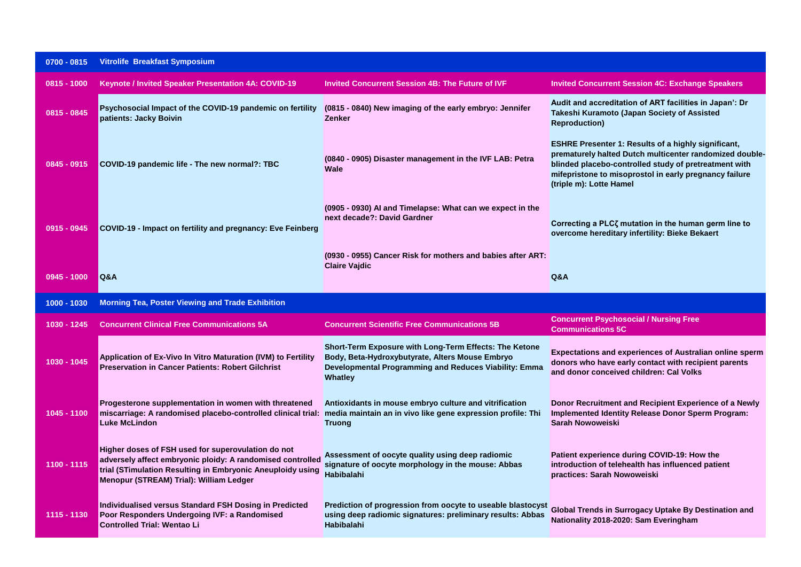| $0700 - 0815$ | <b>Vitrolife Breakfast Symposium</b>                                                                                                                                                                                      |                                                                                                                                                                               |                                                                                                                                                                                                                                                                     |
|---------------|---------------------------------------------------------------------------------------------------------------------------------------------------------------------------------------------------------------------------|-------------------------------------------------------------------------------------------------------------------------------------------------------------------------------|---------------------------------------------------------------------------------------------------------------------------------------------------------------------------------------------------------------------------------------------------------------------|
| $0815 - 1000$ | <b>Keynote / Invited Speaker Presentation 4A: COVID-19</b>                                                                                                                                                                | <b>Invited Concurrent Session 4B: The Future of IVF</b>                                                                                                                       | <b>Invited Concurrent Session 4C: Exchange Speakers</b>                                                                                                                                                                                                             |
| $0815 - 0845$ | Psychosocial Impact of the COVID-19 pandemic on fertility<br>patients: Jacky Boivin                                                                                                                                       | (0815 - 0840) New imaging of the early embryo: Jennifer<br><b>Zenker</b>                                                                                                      | Audit and accreditation of ART facilities in Japan': Dr<br>Takeshi Kuramoto (Japan Society of Assisted<br><b>Reproduction)</b>                                                                                                                                      |
| $0845 - 0915$ | COVID-19 pandemic life - The new normal?: TBC                                                                                                                                                                             | (0840 - 0905) Disaster management in the IVF LAB: Petra<br>Wale                                                                                                               | <b>ESHRE Presenter 1: Results of a highly significant,</b><br>prematurely halted Dutch multicenter randomized double-<br>blinded placebo-controlled study of pretreatment with<br>mifepristone to misoprostol in early pregnancy failure<br>(triple m): Lotte Hamel |
| $0915 - 0945$ | COVID-19 - Impact on fertility and pregnancy: Eve Feinberg                                                                                                                                                                | (0905 - 0930) AI and Timelapse: What can we expect in the<br>next decade?: David Gardner                                                                                      | Correcting a PLC <sub>ζ</sub> mutation in the human germ line to<br>overcome hereditary infertility: Bieke Bekaert                                                                                                                                                  |
| $0945 - 1000$ | <b>Q&amp;A</b>                                                                                                                                                                                                            | (0930 - 0955) Cancer Risk for mothers and babies after ART:<br><b>Claire Vajdic</b>                                                                                           | Q&A                                                                                                                                                                                                                                                                 |
|               |                                                                                                                                                                                                                           |                                                                                                                                                                               |                                                                                                                                                                                                                                                                     |
| 1000 - 1030   | <b>Morning Tea, Poster Viewing and Trade Exhibition</b>                                                                                                                                                                   |                                                                                                                                                                               |                                                                                                                                                                                                                                                                     |
| 1030 - 1245   | <b>Concurrent Clinical Free Communications 5A</b>                                                                                                                                                                         | <b>Concurrent Scientific Free Communications 5B</b>                                                                                                                           | <b>Concurrent Psychosocial / Nursing Free</b><br><b>Communications 5C</b>                                                                                                                                                                                           |
| 1030 - 1045   | Application of Ex-Vivo In Vitro Maturation (IVM) to Fertility<br><b>Preservation in Cancer Patients: Robert Gilchrist</b>                                                                                                 | Short-Term Exposure with Long-Term Effects: The Ketone<br>Body, Beta-Hydroxybutyrate, Alters Mouse Embryo<br>Developmental Programming and Reduces Viability: Emma<br>Whatley | <b>Expectations and experiences of Australian online sperm</b><br>donors who have early contact with recipient parents<br>and donor conceived children: Cal Volks                                                                                                   |
| 1045 - 1100   | Progesterone supplementation in women with threatened<br>miscarriage: A randomised placebo-controlled clinical trial:<br><b>Luke McLindon</b>                                                                             | Antioxidants in mouse embryo culture and vitrification<br>media maintain an in vivo like gene expression profile: Thi<br><b>Truong</b>                                        | Donor Recruitment and Recipient Experience of a Newly<br><b>Implemented Identity Release Donor Sperm Program:</b><br>Sarah Nowoweiski                                                                                                                               |
| 1100 - 1115   | Higher doses of FSH used for superovulation do not<br>adversely affect embryonic ploidy: A randomised controlled<br>trial (STimulation Resulting in Embryonic Aneuploidy using<br>Menopur (STREAM) Trial): William Ledger | Assessment of oocyte quality using deep radiomic<br>signature of oocyte morphology in the mouse: Abbas<br><b>Habibalahi</b>                                                   | Patient experience during COVID-19: How the<br>introduction of telehealth has influenced patient<br>practices: Sarah Nowoweiski                                                                                                                                     |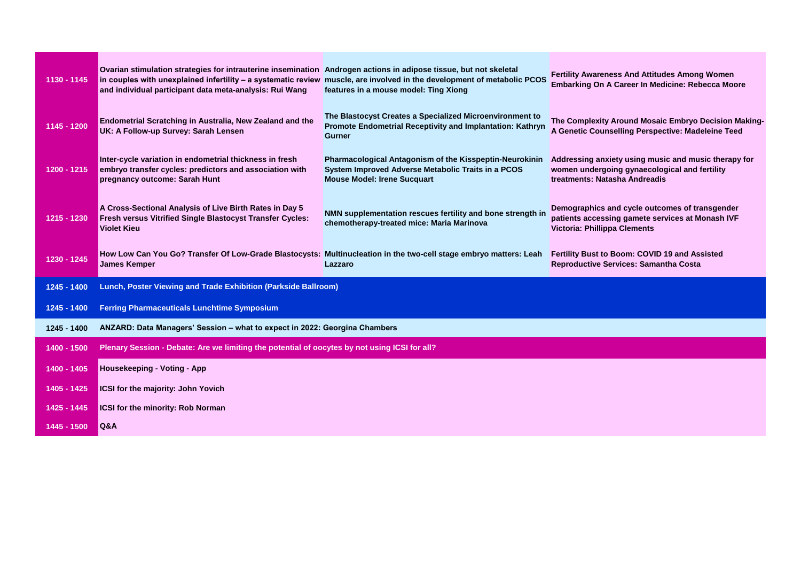| 1130 - 1145 | Ovarian stimulation strategies for intrauterine insemination Androgen actions in adipose tissue, but not skeletal<br>in couples with unexplained infertility - a systematic review muscle, are involved in the development of metabolic PCOS<br>and individual participant data meta-analysis: Rui Wang | features in a mouse model: Ting Xiong                                                                                                               | <b>Fertility Awareness And Attitudes Among Women</b><br>Embarking On A Career In Medicine: Rebecca Moore                               |
|-------------|---------------------------------------------------------------------------------------------------------------------------------------------------------------------------------------------------------------------------------------------------------------------------------------------------------|-----------------------------------------------------------------------------------------------------------------------------------------------------|----------------------------------------------------------------------------------------------------------------------------------------|
| 1145 - 1200 | Endometrial Scratching in Australia, New Zealand and the<br>UK: A Follow-up Survey: Sarah Lensen                                                                                                                                                                                                        | The Blastocyst Creates a Specialized Microenvironment to<br>Promote Endometrial Receptivity and Implantation: Kathryn<br>Gurner                     | The Complexity Around Mosaic Embryo Decision Making-<br>A Genetic Counselling Perspective: Madeleine Teed                              |
| 1200 - 1215 | Inter-cycle variation in endometrial thickness in fresh<br>embryo transfer cycles: predictors and association with<br>pregnancy outcome: Sarah Hunt                                                                                                                                                     | Pharmacological Antagonism of the Kisspeptin-Neurokinin<br>System Improved Adverse Metabolic Traits in a PCOS<br><b>Mouse Model: Irene Sucquart</b> | Addressing anxiety using music and music therapy for<br>women undergoing gynaecological and fertility<br>treatments: Natasha Andreadis |
| 1215 - 1230 | A Cross-Sectional Analysis of Live Birth Rates in Day 5<br>Fresh versus Vitrified Single Blastocyst Transfer Cycles:<br><b>Violet Kieu</b>                                                                                                                                                              | NMN supplementation rescues fertility and bone strength in<br>chemotherapy-treated mice: Maria Marinova                                             | Demographics and cycle outcomes of transgender<br>patients accessing gamete services at Monash IVF<br>Victoria: Phillippa Clements     |
| 1230 - 1245 | How Low Can You Go? Transfer Of Low-Grade Blastocysts: Multinucleation in the two-cell stage embryo matters: Leah<br><b>James Kemper</b>                                                                                                                                                                | Lazzaro                                                                                                                                             | Fertility Bust to Boom: COVID 19 and Assisted<br><b>Reproductive Services: Samantha Costa</b>                                          |
| 1245 - 1400 | Lunch, Poster Viewing and Trade Exhibition (Parkside Ballroom)                                                                                                                                                                                                                                          |                                                                                                                                                     |                                                                                                                                        |
| 1245 - 1400 | <b>Ferring Pharmaceuticals Lunchtime Symposium</b>                                                                                                                                                                                                                                                      |                                                                                                                                                     |                                                                                                                                        |
| 1245 - 1400 | ANZARD: Data Managers' Session - what to expect in 2022: Georgina Chambers                                                                                                                                                                                                                              |                                                                                                                                                     |                                                                                                                                        |
| 1400 - 1500 | Plenary Session - Debate: Are we limiting the potential of oocytes by not using ICSI for all?                                                                                                                                                                                                           |                                                                                                                                                     |                                                                                                                                        |
| 1400 - 1405 | Housekeeping - Voting - App                                                                                                                                                                                                                                                                             |                                                                                                                                                     |                                                                                                                                        |
| 1405 - 1425 | ICSI for the majority: John Yovich                                                                                                                                                                                                                                                                      |                                                                                                                                                     |                                                                                                                                        |
| 1425 - 1445 | <b>ICSI for the minority: Rob Norman</b>                                                                                                                                                                                                                                                                |                                                                                                                                                     |                                                                                                                                        |
| 1445 - 1500 | <b>Q&amp;A</b>                                                                                                                                                                                                                                                                                          |                                                                                                                                                     |                                                                                                                                        |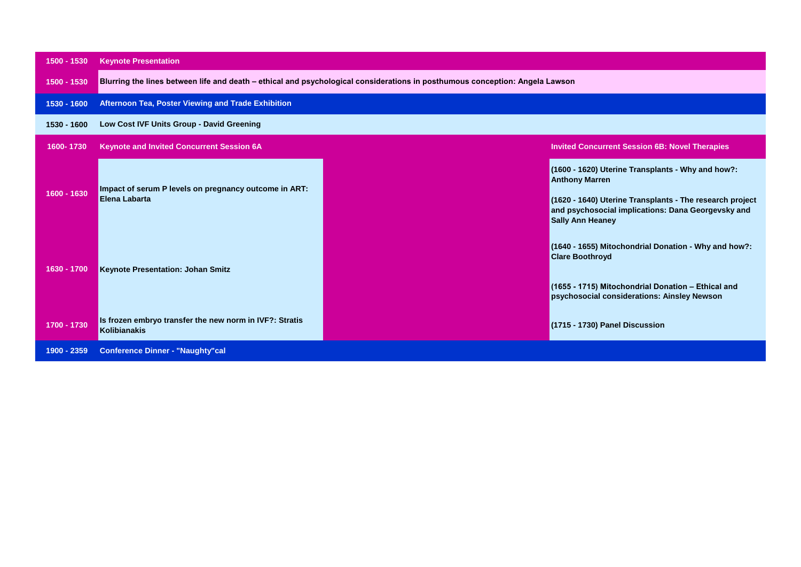| 1500 - 1530 | <b>Keynote Presentation</b>                                                                                                  |                                                                                                                                                                                                                         |  |
|-------------|------------------------------------------------------------------------------------------------------------------------------|-------------------------------------------------------------------------------------------------------------------------------------------------------------------------------------------------------------------------|--|
| 1500 - 1530 | Blurring the lines between life and death - ethical and psychological considerations in posthumous conception: Angela Lawson |                                                                                                                                                                                                                         |  |
| 1530 - 1600 | Afternoon Tea, Poster Viewing and Trade Exhibition                                                                           |                                                                                                                                                                                                                         |  |
| 1530 - 1600 | Low Cost IVF Units Group - David Greening                                                                                    |                                                                                                                                                                                                                         |  |
| 1600-1730   | <b>Keynote and Invited Concurrent Session 6A</b>                                                                             | <b>Invited Concurrent Session 6B: Novel Therapies</b>                                                                                                                                                                   |  |
| 1600 - 1630 | Impact of serum P levels on pregnancy outcome in ART:<br>Elena Labarta                                                       | (1600 - 1620) Uterine Transplants - Why and how?:<br><b>Anthony Marren</b><br>(1620 - 1640) Uterine Transplants - The research project<br>and psychosocial implications: Dana Georgevsky and<br><b>Sally Ann Heaney</b> |  |
| 1630 - 1700 | <b>Keynote Presentation: Johan Smitz</b>                                                                                     | (1640 - 1655) Mitochondrial Donation - Why and how?:<br><b>Clare Boothroyd</b><br>(1655 - 1715) Mitochondrial Donation - Ethical and<br>psychosocial considerations: Ainsley Newson                                     |  |
| 1700 - 1730 | Is frozen embryo transfer the new norm in IVF?: Stratis<br><b>Kolibianakis</b>                                               | (1715 - 1730) Panel Discussion                                                                                                                                                                                          |  |
| 1900 - 2359 | <b>Conference Dinner - "Naughty"cal</b>                                                                                      |                                                                                                                                                                                                                         |  |